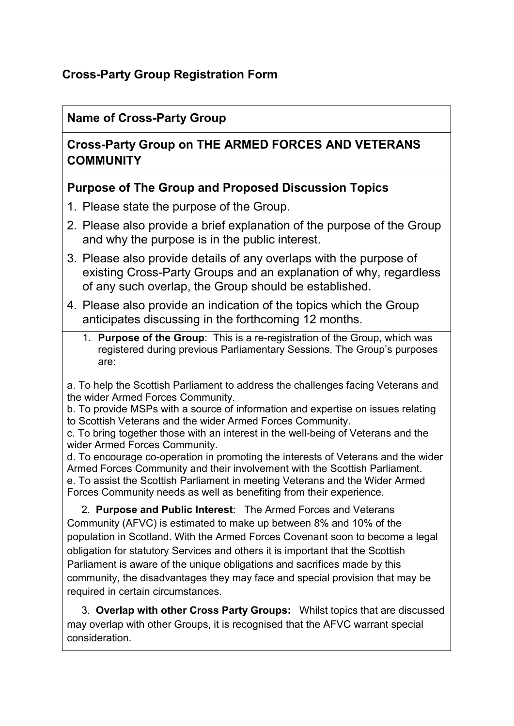# **Cross-Party Group Registration Form**

### **Name of Cross-Party Group**

## **Cross-Party Group on THE ARMED FORCES AND VETERANS COMMUNITY**

### **Purpose of The Group and Proposed Discussion Topics**

- 1. Please state the purpose of the Group.
- 2. Please also provide a brief explanation of the purpose of the Group and why the purpose is in the public interest.
- 3. Please also provide details of any overlaps with the purpose of existing Cross-Party Groups and an explanation of why, regardless of any such overlap, the Group should be established.
- 4. Please also provide an indication of the topics which the Group anticipates discussing in the forthcoming 12 months.
	- 1. **Purpose of the Group**: This is a re-registration of the Group, which was registered during previous Parliamentary Sessions. The Group's purposes are:

a. To help the Scottish Parliament to address the challenges facing Veterans and the wider Armed Forces Community.

b. To provide MSPs with a source of information and expertise on issues relating to Scottish Veterans and the wider Armed Forces Community.

c. To bring together those with an interest in the well-being of Veterans and the wider Armed Forces Community.

d. To encourage co-operation in promoting the interests of Veterans and the wider Armed Forces Community and their involvement with the Scottish Parliament. e. To assist the Scottish Parliament in meeting Veterans and the Wider Armed Forces Community needs as well as benefiting from their experience.

 2. **Purpose and Public Interest**: The Armed Forces and Veterans Community (AFVC) is estimated to make up between 8% and 10% of the population in Scotland. With the Armed Forces Covenant soon to become a legal obligation for statutory Services and others it is important that the Scottish Parliament is aware of the unique obligations and sacrifices made by this community, the disadvantages they may face and special provision that may be required in certain circumstances.

 3. **Overlap with other Cross Party Groups:** Whilst topics that are discussed may overlap with other Groups, it is recognised that the AFVC warrant special consideration.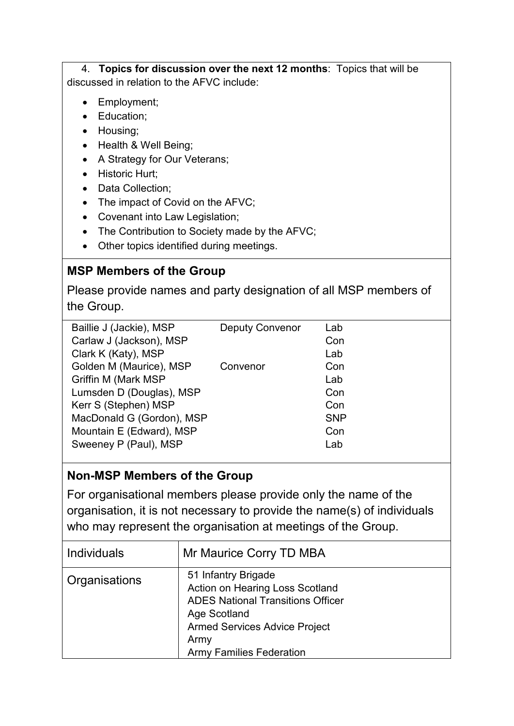4. **Topics for discussion over the next 12 months**: Topics that will be discussed in relation to the AFVC include:

- Employment;
- Education;
- Housing;
- Health & Well Being;
- A Strategy for Our Veterans;
- Historic Hurt;
- Data Collection:
- The impact of Covid on the AFVC;
- Covenant into Law Legislation;
- The Contribution to Society made by the AFVC;
- Other topics identified during meetings.

# **MSP Members of the Group**

Please provide names and party designation of all MSP members of the Group.

| Baillie J (Jackie), MSP    | <b>Deputy Convenor</b> | Lab        |
|----------------------------|------------------------|------------|
| Carlaw J (Jackson), MSP    |                        | Con        |
| Clark K (Katy), MSP        |                        | Lab        |
| Golden M (Maurice), MSP    | Convenor               | Con        |
| <b>Griffin M (Mark MSP</b> |                        | Lab        |
| Lumsden D (Douglas), MSP   |                        | Con        |
| Kerr S (Stephen) MSP       |                        | Con        |
| MacDonald G (Gordon), MSP  |                        | <b>SNP</b> |
| Mountain E (Edward), MSP   |                        | Con        |
| Sweeney P (Paul), MSP      |                        | Lab        |
|                            |                        |            |

# **Non-MSP Members of the Group**

For organisational members please provide only the name of the organisation, it is not necessary to provide the name(s) of individuals who may represent the organisation at meetings of the Group.

| Individuals   | Mr Maurice Corry TD MBA                                                                                                                                                                                      |
|---------------|--------------------------------------------------------------------------------------------------------------------------------------------------------------------------------------------------------------|
| Organisations | 51 Infantry Brigade<br>Action on Hearing Loss Scotland<br><b>ADES National Transitions Officer</b><br><b>Age Scotland</b><br><b>Armed Services Advice Project</b><br>Army<br><b>Army Families Federation</b> |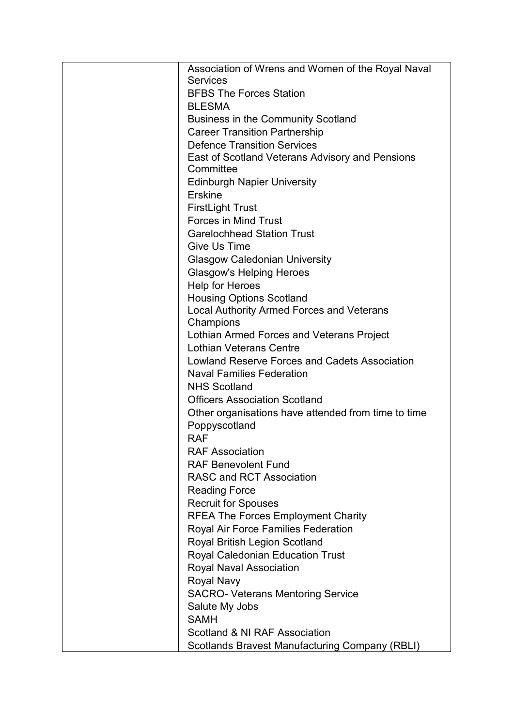| Association of Wrens and Women of the Royal Naval     |
|-------------------------------------------------------|
| <b>Services</b>                                       |
| <b>BFBS The Forces Station</b>                        |
| <b>BLESMA</b>                                         |
| <b>Business in the Community Scotland</b>             |
| <b>Career Transition Partnership</b>                  |
| <b>Defence Transition Services</b>                    |
| East of Scotland Veterans Advisory and Pensions       |
| Committee                                             |
| <b>Edinburgh Napier University</b>                    |
| Erskine                                               |
| <b>FirstLight Trust</b>                               |
| <b>Forces in Mind Trust</b>                           |
| <b>Garelochhead Station Trust</b>                     |
| Give Us Time                                          |
| <b>Glasgow Caledonian University</b>                  |
| <b>Glasgow's Helping Heroes</b>                       |
| <b>Help for Heroes</b>                                |
| <b>Housing Options Scotland</b>                       |
| <b>Local Authority Armed Forces and Veterans</b>      |
| Champions                                             |
| Lothian Armed Forces and Veterans Project             |
| <b>Lothian Veterans Centre</b>                        |
| Lowland Reserve Forces and Cadets Association         |
| <b>Naval Families Federation</b>                      |
| <b>NHS Scotland</b>                                   |
| <b>Officers Association Scotland</b>                  |
| Other organisations have attended from time to time   |
| Poppyscotland                                         |
| <b>RAF</b>                                            |
| <b>RAF Association</b>                                |
| <b>RAF Benevolent Fund</b>                            |
| <b>RASC and RCT Association</b>                       |
|                                                       |
| <b>Reading Force</b>                                  |
| <b>Recruit for Spouses</b>                            |
| <b>RFEA The Forces Employment Charity</b>             |
| <b>Royal Air Force Families Federation</b>            |
| <b>Royal British Legion Scotland</b>                  |
| <b>Royal Caledonian Education Trust</b>               |
| Royal Naval Association                               |
| <b>Royal Navy</b>                                     |
| <b>SACRO- Veterans Mentoring Service</b>              |
| Salute My Jobs                                        |
| <b>SAMH</b>                                           |
| Scotland & NI RAF Association                         |
| <b>Scotlands Bravest Manufacturing Company (RBLI)</b> |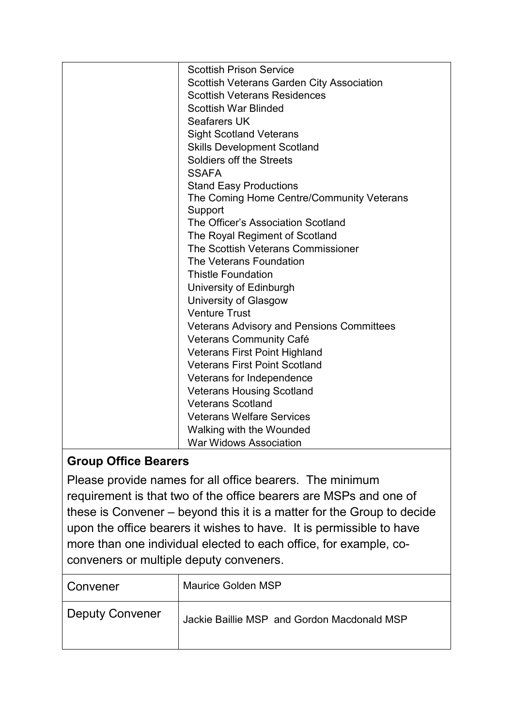| <b>Scottish Prison Service</b>                   |
|--------------------------------------------------|
| Scottish Veterans Garden City Association        |
| <b>Scottish Veterans Residences</b>              |
| <b>Scottish War Blinded</b>                      |
| <b>Seafarers UK</b>                              |
| <b>Sight Scotland Veterans</b>                   |
| <b>Skills Development Scotland</b>               |
| Soldiers off the Streets                         |
| <b>SSAFA</b>                                     |
| <b>Stand Easy Productions</b>                    |
| The Coming Home Centre/Community Veterans        |
| Support                                          |
| The Officer's Association Scotland               |
| The Royal Regiment of Scotland                   |
| The Scottish Veterans Commissioner               |
| The Veterans Foundation                          |
| <b>Thistle Foundation</b>                        |
| University of Edinburgh                          |
| University of Glasgow                            |
| <b>Venture Trust</b>                             |
| <b>Veterans Advisory and Pensions Committees</b> |
| Veterans Community Café                          |
| <b>Veterans First Point Highland</b>             |
| <b>Veterans First Point Scotland</b>             |
| Veterans for Independence                        |
| <b>Veterans Housing Scotland</b>                 |
| <b>Veterans Scotland</b>                         |
| <b>Veterans Welfare Services</b>                 |
| Walking with the Wounded                         |
| <b>War Widows Association</b>                    |

# **Group Office Bearers**

Please provide names for all office bearers. The minimum requirement is that two of the office bearers are MSPs and one of these is Convener – beyond this it is a matter for the Group to decide upon the office bearers it wishes to have. It is permissible to have more than one individual elected to each office, for example, coconveners or multiple deputy conveners.

| Convener               | Maurice Golden MSP                          |
|------------------------|---------------------------------------------|
| <b>Deputy Convener</b> | Jackie Baillie MSP and Gordon Macdonald MSP |